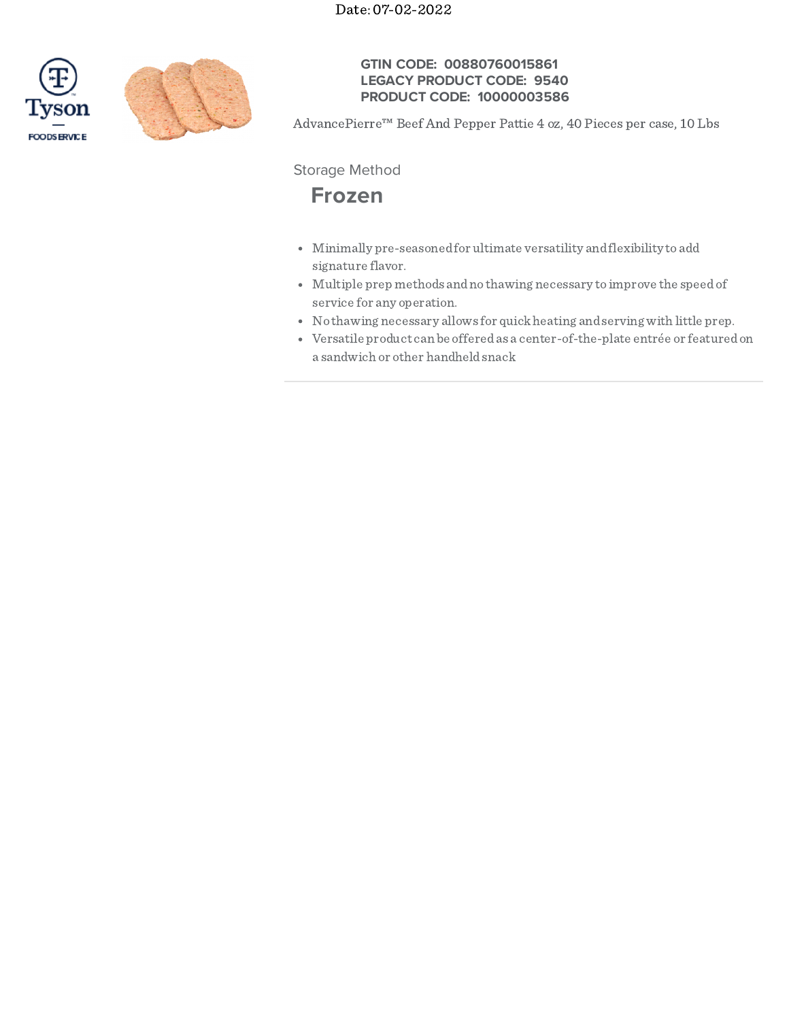



## **GTIN CODE: 00880760015861 LEGACY PRODUCT CODE: 9540 PRODUCT CODE: 10000003586**

AdvancePierre™ Beef And Pepper Pattie 4 oz, 40 Pieces per case, 10 Lbs

Storage Method

# **Frozen**

- Minimally pre-seasonedfor ultimate versatility andflexibility to add signature flavor.
- Multiple prep methods andno thawing necessary to improve the speedof service for any operation.
- No thawing necessary allows for quickheating andserving with little prep.
- Versatile product can be offeredas a center-of-the-plate entrée or featuredon a sandwich or other handheldsnack